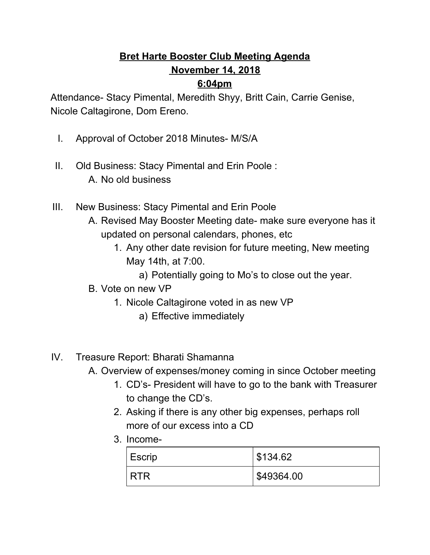## **Bret Harte Booster Club Meeting Agenda November 14, 2018**

## **6:04pm**

Attendance- Stacy Pimental, Meredith Shyy, Britt Cain, Carrie Genise, Nicole Caltagirone, Dom Ereno.

- I. Approval of October 2018 Minutes- M/S/A
- II. Old Business: Stacy Pimental and Erin Poole : A. No old business
- III. New Business: Stacy Pimental and Erin Poole
	- A. Revised May Booster Meeting date- make sure everyone has it updated on personal calendars, phones, etc
		- 1. Any other date revision for future meeting, New meeting May 14th, at 7:00.
			- a) Potentially going to Mo's to close out the year.
	- B. Vote on new VP
		- 1. Nicole Caltagirone voted in as new VP
			- a) Effective immediately
- IV. Treasure Report: Bharati Shamanna
	- A. Overview of expenses/money coming in since October meeting
		- 1. CD's- President will have to go to the bank with Treasurer to change the CD's.
		- 2. Asking if there is any other big expenses, perhaps roll more of our excess into a CD
		- 3. Income-

| Escrip     | \$134.62   |
|------------|------------|
| <b>RTR</b> | \$49364.00 |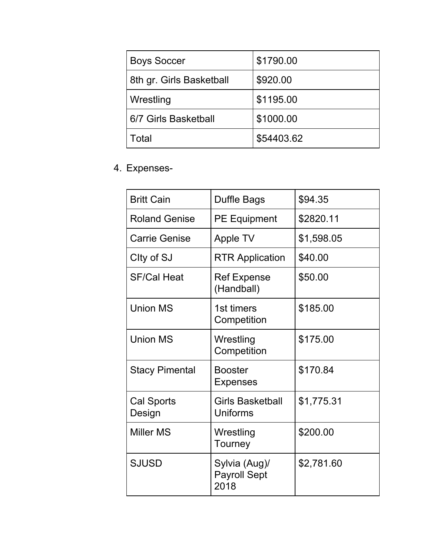| <b>Boys Soccer</b>       | \$1790.00  |
|--------------------------|------------|
| 8th gr. Girls Basketball | \$920.00   |
| Wrestling                | \$1195.00  |
| 6/7 Girls Basketball     | \$1000.00  |
| Total                    | \$54403.62 |

## 4. Expenses-

| <b>Britt Cain</b>     | Duffle Bags                                  | \$94.35    |
|-----------------------|----------------------------------------------|------------|
| <b>Roland Genise</b>  | <b>PE Equipment</b>                          | \$2820.11  |
| <b>Carrie Genise</b>  | Apple TV                                     | \$1,598.05 |
| City of SJ            | <b>RTR Application</b>                       | \$40.00    |
| <b>SF/Cal Heat</b>    | <b>Ref Expense</b><br>(Handball)             | \$50.00    |
| <b>Union MS</b>       | 1st timers<br>Competition                    | \$185.00   |
| <b>Union MS</b>       | Wrestling<br>Competition                     | \$175.00   |
| <b>Stacy Pimental</b> | <b>Booster</b><br><b>Expenses</b>            | \$170.84   |
| Cal Sports<br>Design  | <b>Girls Basketball</b><br>Uniforms          | \$1,775.31 |
| <b>Miller MS</b>      | Wrestling<br>Tourney                         | \$200.00   |
| <b>SJUSD</b>          | Sylvia (Aug)/<br><b>Payroll Sept</b><br>2018 | \$2,781.60 |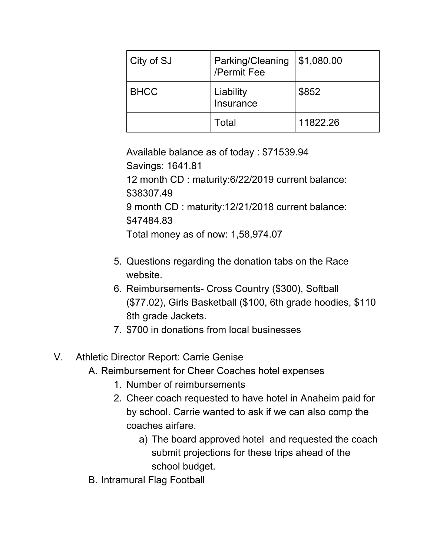| City of SJ  | Parking/Cleaning<br>/Permit Fee | \$1,080.00 |
|-------------|---------------------------------|------------|
| <b>BHCC</b> | Liability<br>Insurance          | \$852      |
|             | Total                           | 11822.26   |

Available balance as of today : \$71539.94 Savings: 1641.81 12 month CD : maturity:6/22/2019 current balance: \$38307.49 9 month CD : maturity:12/21/2018 current balance: \$47484.83 Total money as of now: 1,58,974.07

- 5. Questions regarding the donation tabs on the Race website.
- 6. Reimbursements- Cross Country (\$300), Softball (\$77.02), Girls Basketball (\$100, 6th grade hoodies, \$110 8th grade Jackets.
- 7. \$700 in donations from local businesses

## V. Athletic Director Report: Carrie Genise

- A. Reimbursement for Cheer Coaches hotel expenses
	- 1. Number of reimbursements
	- 2. Cheer coach requested to have hotel in Anaheim paid for by school. Carrie wanted to ask if we can also comp the coaches airfare.
		- a) The board approved hotel and requested the coach submit projections for these trips ahead of the school budget.
- B. Intramural Flag Football